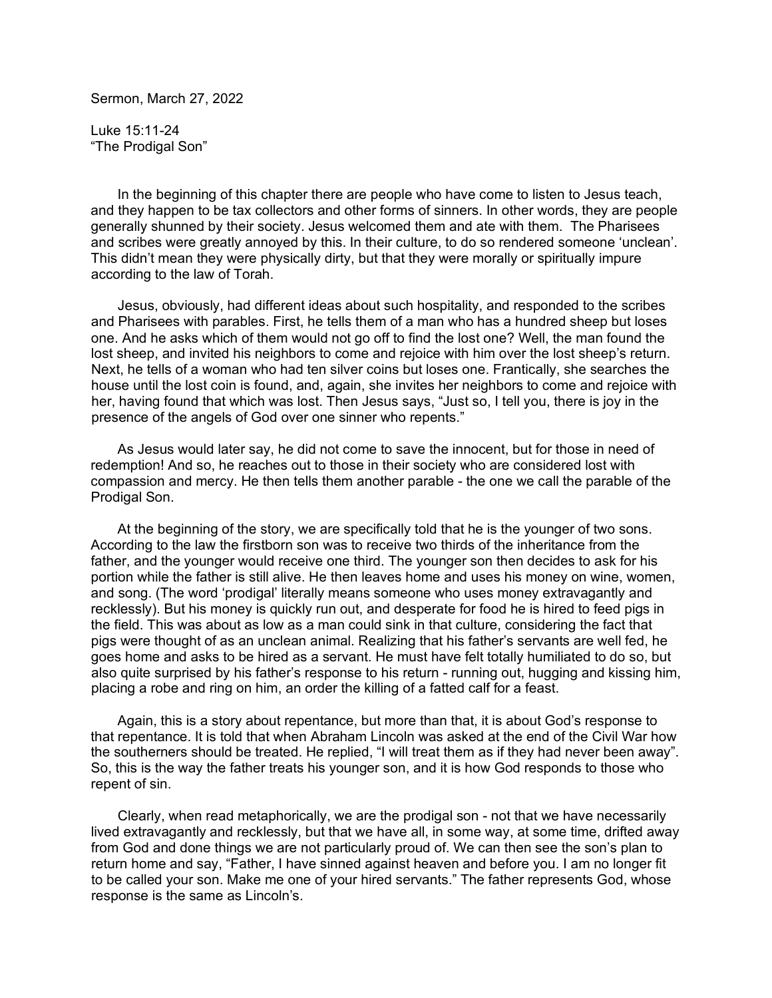Sermon, March 27, 2022

Luke 15:11-24 "The Prodigal Son"

 In the beginning of this chapter there are people who have come to listen to Jesus teach, and they happen to be tax collectors and other forms of sinners. In other words, they are people generally shunned by their society. Jesus welcomed them and ate with them. The Pharisees and scribes were greatly annoyed by this. In their culture, to do so rendered someone 'unclean'. This didn't mean they were physically dirty, but that they were morally or spiritually impure according to the law of Torah.

 Jesus, obviously, had different ideas about such hospitality, and responded to the scribes and Pharisees with parables. First, he tells them of a man who has a hundred sheep but loses one. And he asks which of them would not go off to find the lost one? Well, the man found the lost sheep, and invited his neighbors to come and rejoice with him over the lost sheep's return. Next, he tells of a woman who had ten silver coins but loses one. Frantically, she searches the house until the lost coin is found, and, again, she invites her neighbors to come and rejoice with her, having found that which was lost. Then Jesus says, "Just so, I tell you, there is joy in the presence of the angels of God over one sinner who repents."

 As Jesus would later say, he did not come to save the innocent, but for those in need of redemption! And so, he reaches out to those in their society who are considered lost with compassion and mercy. He then tells them another parable - the one we call the parable of the Prodigal Son.

 At the beginning of the story, we are specifically told that he is the younger of two sons. According to the law the firstborn son was to receive two thirds of the inheritance from the father, and the younger would receive one third. The younger son then decides to ask for his portion while the father is still alive. He then leaves home and uses his money on wine, women, and song. (The word 'prodigal' literally means someone who uses money extravagantly and recklessly). But his money is quickly run out, and desperate for food he is hired to feed pigs in the field. This was about as low as a man could sink in that culture, considering the fact that pigs were thought of as an unclean animal. Realizing that his father's servants are well fed, he goes home and asks to be hired as a servant. He must have felt totally humiliated to do so, but also quite surprised by his father's response to his return - running out, hugging and kissing him, placing a robe and ring on him, an order the killing of a fatted calf for a feast.

 Again, this is a story about repentance, but more than that, it is about God's response to that repentance. It is told that when Abraham Lincoln was asked at the end of the Civil War how the southerners should be treated. He replied, "I will treat them as if they had never been away". So, this is the way the father treats his younger son, and it is how God responds to those who repent of sin.

 Clearly, when read metaphorically, we are the prodigal son - not that we have necessarily lived extravagantly and recklessly, but that we have all, in some way, at some time, drifted away from God and done things we are not particularly proud of. We can then see the son's plan to return home and say, "Father, I have sinned against heaven and before you. I am no longer fit to be called your son. Make me one of your hired servants." The father represents God, whose response is the same as Lincoln's.